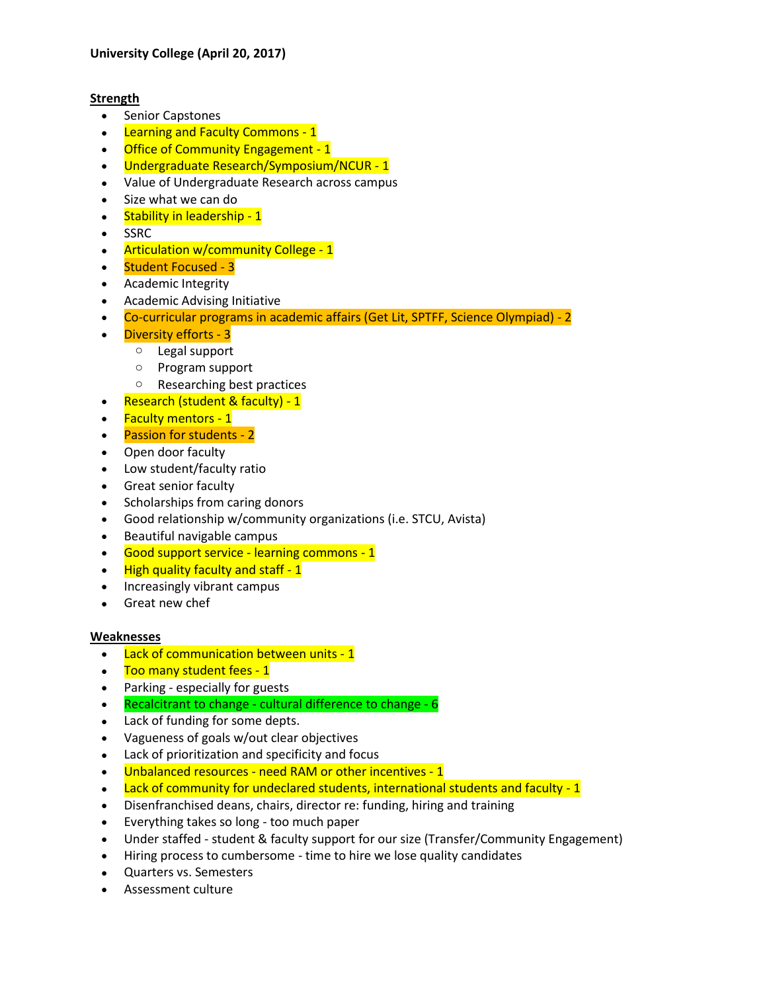## **Strength**

- Senior Capstones
- Learning and Faculty Commons 1
- Office of Community Engagement 1
- Undergraduate Research/Symposium/NCUR 1
- Value of Undergraduate Research across campus
- Size what we can do
- Stability in leadership 1
- SSRC
- Articulation w/community College 1
- Student Focused 3
- Academic Integrity
- Academic Advising Initiative
- Co-curricular programs in academic affairs (Get Lit, SPTFF, Science Olympiad) 2
- Diversity efforts 3
	- o Legal support
	- o Program support
	- o Researching best practices
- Research (student & faculty) 1
- Faculty mentors 1
- Passion for students 2
- Open door faculty
- Low student/faculty ratio
- Great senior faculty
- Scholarships from caring donors
- Good relationship w/community organizations (i.e. STCU, Avista)
- Beautiful navigable campus
- Good support service learning commons 1
- $\bullet$  High quality faculty and staff 1
- Increasingly vibrant campus
- Great new chef

## **Weaknesses**

- Lack of communication between units 1
- Too many student fees 1
- Parking especially for guests
- Recalcitrant to change cultural difference to change 6
- Lack of funding for some depts.
- Vagueness of goals w/out clear objectives
- Lack of prioritization and specificity and focus
- Unbalanced resources need RAM or other incentives 1
- Lack of community for undeclared students, international students and faculty 1
- Disenfranchised deans, chairs, director re: funding, hiring and training
- Everything takes so long too much paper
- Under staffed student & faculty support for our size (Transfer/Community Engagement)
- Hiring process to cumbersome time to hire we lose quality candidates
- Quarters vs. Semesters
- Assessment culture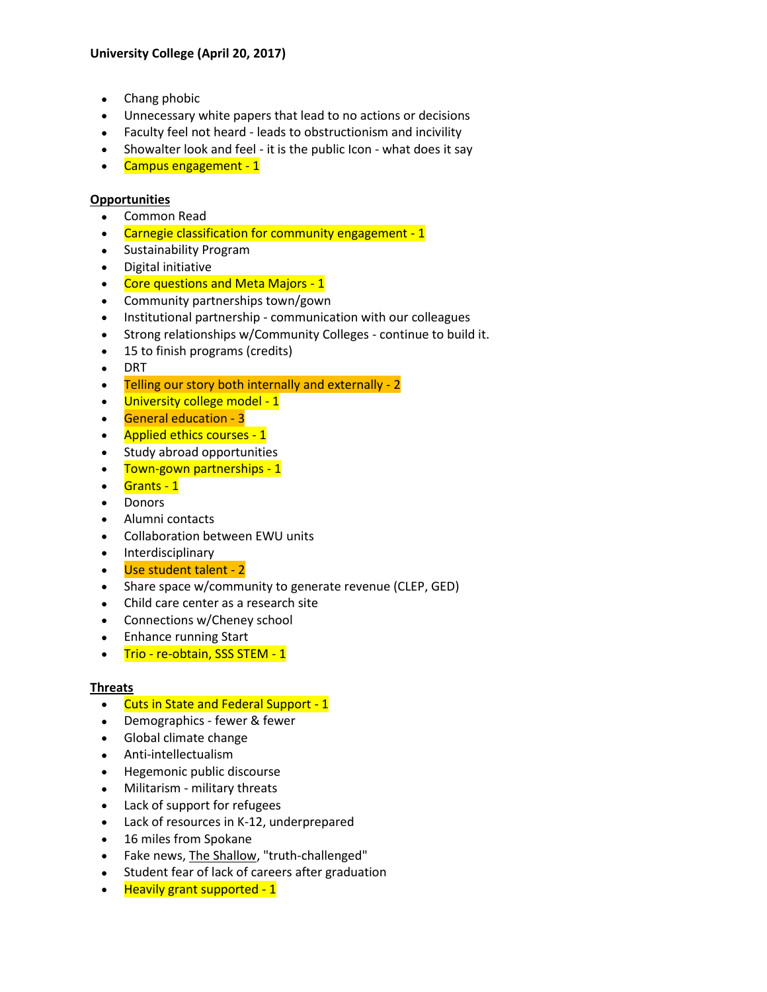- Chang phobic
- Unnecessary white papers that lead to no actions or decisions
- Faculty feel not heard leads to obstructionism and incivility
- Showalter look and feel it is the public Icon what does it say
- Campus engagement 1

## **Opportunities**

- Common Read
- Carnegie classification for community engagement 1
- Sustainability Program
- Digital initiative
- Core questions and Meta Majors 1
- Community partnerships town/gown
- Institutional partnership communication with our colleagues
- Strong relationships w/Community Colleges continue to build it.
- 15 to finish programs (credits)
- DRT
- Telling our story both internally and externally 2
- University college model 1
- General education 3
- Applied ethics courses 1
- Study abroad opportunities
- Town-gown partnerships 1
- Grants 1
- Donors
- Alumni contacts
- Collaboration between EWU units
- Interdisciplinary
- Use student talent 2
- Share space w/community to generate revenue (CLEP, GED)
- Child care center as a research site
- Connections w/Cheney school
- Enhance running Start
- Trio re-obtain, SSS STEM 1

## **Threats**

- Cuts in State and Federal Support 1
- Demographics fewer & fewer
- Global climate change
- Anti-intellectualism
- Hegemonic public discourse
- Militarism military threats
- Lack of support for refugees
- Lack of resources in K-12, underprepared
- 16 miles from Spokane
- Fake news, The Shallow, "truth-challenged"
- Student fear of lack of careers after graduation
- Heavily grant supported 1